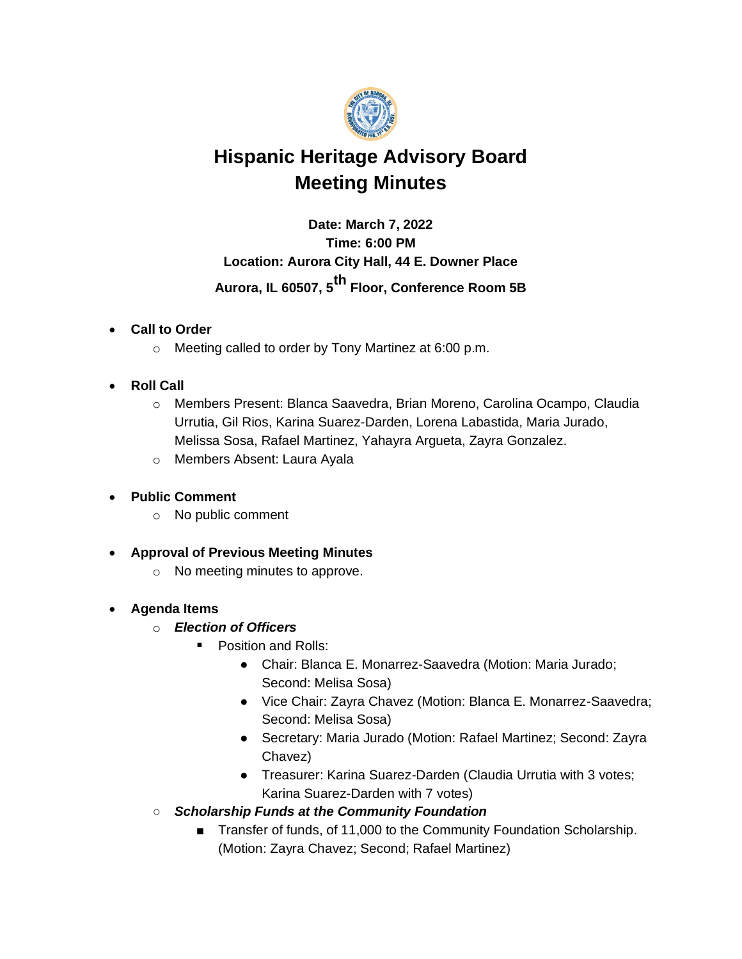

# **Hispanic Heritage Advisory Board Meeting Minutes**

**Date: March 7, 2022 Time: 6:00 PM Location: Aurora City Hall, 44 E. Downer Place Aurora, IL 60507, 5th Floor, Conference Room 5B**

## • **Call to Order**

o Meeting called to order by Tony Martinez at 6:00 p.m.

## • **Roll Call**

- o Members Present: Blanca Saavedra, Brian Moreno, Carolina Ocampo, Claudia Urrutia, Gil Rios, Karina Suarez-Darden, Lorena Labastida, Maria Jurado, Melissa Sosa, Rafael Martinez, Yahayra Argueta, Zayra Gonzalez.
- o Members Absent: Laura Ayala

# • **Public Comment**

- o No public comment
- **Approval of Previous Meeting Minutes**
	- o No meeting minutes to approve.

#### • **Agenda Items**

- o *Election of Officers*
	- Position and Rolls:
		- Chair: Blanca E. Monarrez-Saavedra (Motion: Maria Jurado; Second: Melisa Sosa)
		- Vice Chair: Zayra Chavez (Motion: Blanca E. Monarrez-Saavedra; Second: Melisa Sosa)
		- Secretary: Maria Jurado (Motion: Rafael Martinez; Second: Zayra Chavez)
		- Treasurer: Karina Suarez-Darden (Claudia Urrutia with 3 votes; Karina Suarez-Darden with 7 votes)
- *Scholarship Funds at the Community Foundation*
	- Transfer of funds, of 11,000 to the Community Foundation Scholarship. (Motion: Zayra Chavez; Second; Rafael Martinez)